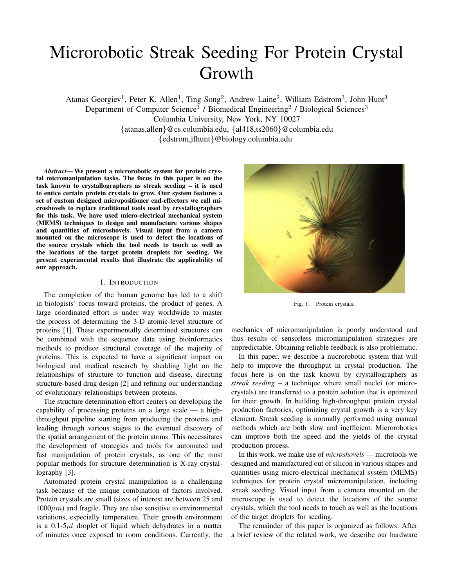# Microrobotic Streak Seeding For Protein Crystal Growth

Atanas Georgiev<sup>1</sup>, Peter K. Allen<sup>1</sup>, Ting Song<sup>2</sup>, Andrew Laine<sup>2</sup>, William Edstrom<sup>3</sup>, John Hunt<sup>3</sup> Department of Computer Science<sup>1</sup> / Biomedical Engineering<sup>2</sup> / Biological Sciences<sup>3</sup> Columbia University, New York, NY 10027 {atanas,allen}@cs.columbia.edu, {al418,ts2060}@columbia.edu {edstrom,jfhunt}@biology.columbia.edu

*Abstract*— We present a microrobotic system for protein crystal micromanipulation tasks. The focus in this paper is on the task known to crystallographers as streak seeding – it is used to entice certain protein crystals to grow. Our system features a set of custom designed micropositioner end-effectors we call microshovels to replace traditional tools used by crystallographers for this task. We have used micro-electrical mechanical system (MEMS) techniques to design and manufacture various shapes and quantities of microshovels. Visual input from a camera mounted on the microscope is used to detect the locations of the source crystals which the tool needs to touch as well as the locations of the target protein droplets for seeding. We present experimental results that illustrate the applicability of our approach.

#### I. INTRODUCTION

The completion of the human genome has led to a shift in biologists' focus toward proteins, the product of genes. A large coordinated effort is under way worldwide to master the process of determining the 3-D atomic-level structure of proteins [1]. These experimentally determined structures can be combined with the sequence data using bioinformatics methods to produce structural coverage of the majority of proteins. This is expected to have a significant impact on biological and medical research by shedding light on the relationships of structure to function and disease, directing structure-based drug design [2] and refining our understanding of evolutionary relationships between proteins.

The structure determination effort centers on developing the capability of processing proteins on a large scale — a highthroughput pipeline starting from producing the proteins and leading through various stages to the eventual discovery of the spatial arrangement of the protein atoms. This necessitates the development of strategies and tools for automated and fast manipulation of protein crystals, as one of the most popular methods for structure determination is X-ray crystallography [3].

Automated protein crystal manipulation is a challenging task because of the unique combination of factors involved. Protein crystals are small (sizes of interest are between 25 and  $1000\mu m$ ) and fragile. They are also sensitive to environmental variations, especially temperature. Their growth environment is a  $0.1-5\mu l$  droplet of liquid which dehydrates in a matter of minutes once exposed to room conditions. Currently, the



Fig. 1. Protein crystals.

mechanics of micromanipulation is poorly understood and thus results of sensorless micromanipulation strategies are unpredictable. Obtaining reliable feedback is also problematic.

In this paper, we describe a microrobotic system that will help to improve the throughput in crystal production. The focus here is on the task known by crystallographers as *streak seeding* – a technique where small nuclei (or microcrystals) are transferred to a protein solution that is optimized for their growth. In building high-throughput protein crystal production factories, optimizing crystal growth is a very key element. Streak seeding is normally performed using manual methods which are both slow and inefficient. Microrobotics can improve both the speed and the yields of the crystal production process.

In this work, we make use of *microshovels* — microtools we designed and manufactured out of silicon in various shapes and quantities using micro-electrical mechanical system (MEMS) techniques for protein crystal micromanipulation, including streak seeding. Visual input from a camera mounted on the microscope is used to detect the locations of the source crystals, which the tool needs to touch as well as the locations of the target droplets for seeding.

The remainder of this paper is organized as follows: After a brief review of the related work, we describe our hardware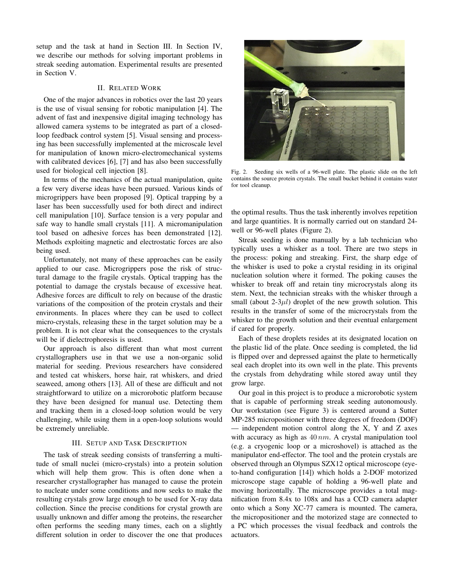setup and the task at hand in Section III. In Section IV, we describe our methods for solving important problems in streak seeding automation. Experimental results are presented in Section V.

#### II. RELATED WORK

One of the major advances in robotics over the last 20 years is the use of visual sensing for robotic manipulation [4]. The advent of fast and inexpensive digital imaging technology has allowed camera systems to be integrated as part of a closedloop feedback control system [5]. Visual sensing and processing has been successfully implemented at the microscale level for manipulation of known micro-electromechanical systems with calibrated devices [6], [7] and has also been successfully used for biological cell injection [8].

In terms of the mechanics of the actual manipulation, quite a few very diverse ideas have been pursued. Various kinds of microgrippers have been proposed [9]. Optical trapping by a laser has been successfully used for both direct and indirect cell manipulation [10]. Surface tension is a very popular and safe way to handle small crystals [11]. A micromanipulation tool based on adhesive forces has been demonstrated [12]. Methods exploiting magnetic and electrostatic forces are also being used.

Unfortunately, not many of these approaches can be easily applied to our case. Microgrippers pose the risk of structural damage to the fragile crystals. Optical trapping has the potential to damage the crystals because of excessive heat. Adhesive forces are difficult to rely on because of the drastic variations of the composition of the protein crystals and their environments. In places where they can be used to collect micro-crystals, releasing these in the target solution may be a problem. It is not clear what the consequences to the crystals will be if dielectrophoresis is used.

Our approach is also different than what most current crystallographers use in that we use a non-organic solid material for seeding. Previous researchers have considered and tested cat whiskers, horse hair, rat whiskers, and dried seaweed, among others [13]. All of these are difficult and not straightforward to utilize on a microrobotic platform because they have been designed for manual use. Detecting them and tracking them in a closed-loop solution would be very challenging, while using them in a open-loop solutions would be extremely unreliable.

# III. SETUP AND TASK DESCRIPTION

The task of streak seeding consists of transferring a multitude of small nuclei (micro-crystals) into a protein solution which will help them grow. This is often done when a researcher crystallographer has managed to cause the protein to nucleate under some conditions and now seeks to make the resulting crystals grow large enough to be used for X-ray data collection. Since the precise conditions for crystal growth are usually unknown and differ among the proteins, the researcher often performs the seeding many times, each on a slightly different solution in order to discover the one that produces



Fig. 2. Seeding six wells of a 96-well plate. The plastic slide on the left contains the source protein crystals. The small bucket behind it contains water for tool cleanup.

the optimal results. Thus the task inherently involves repetition and large quantities. It is normally carried out on standard 24 well or 96-well plates (Figure 2).

Streak seeding is done manually by a lab technician who typically uses a whisker as a tool. There are two steps in the process: poking and streaking. First, the sharp edge of the whisker is used to poke a crystal residing in its original nucleation solution where it formed. The poking causes the whisker to break off and retain tiny microcrystals along its stem. Next, the technician streaks with the whisker through a small (about  $2-3\mu l$ ) droplet of the new growth solution. This results in the transfer of some of the microcrystals from the whisker to the growth solution and their eventual enlargement if cared for properly.

Each of these droplets resides at its designated location on the plastic lid of the plate. Once seeding is completed, the lid is flipped over and depressed against the plate to hermetically seal each droplet into its own well in the plate. This prevents the crystals from dehydrating while stored away until they grow large.

Our goal in this project is to produce a microrobotic system that is capable of performing streak seeding autonomously. Our workstation (see Figure 3) is centered around a Sutter MP-285 micropositioner with three degrees of freedom (DOF) — independent motion control along the X, Y and Z axes with accuracy as high as  $40 \, nm$ . A crystal manipulation tool (e.g. a cryogenic loop or a microshovel) is attached as the manipulator end-effector. The tool and the protein crystals are observed through an Olympus SZX12 optical microscope (eyeto-hand configuration [14]) which holds a 2-DOF motorized microscope stage capable of holding a 96-well plate and moving horizontally. The microscope provides a total magnification from 8.4x to 108x and has a CCD camera adapter onto which a Sony XC-77 camera is mounted. The camera, the micropositioner and the motorized stage are connected to a PC which processes the visual feedback and controls the actuators.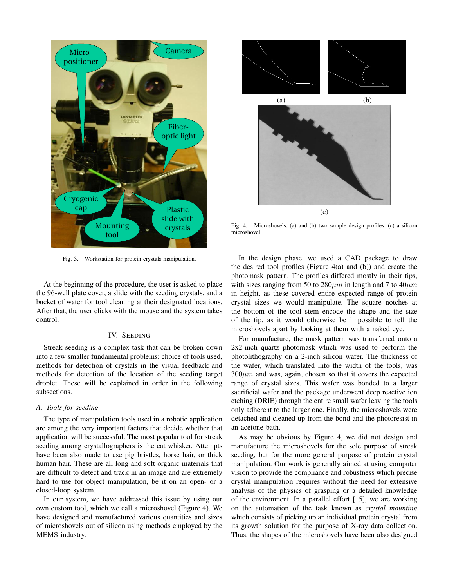

Fig. 3. Workstation for protein crystals manipulation.

At the beginning of the procedure, the user is asked to place the 96-well plate cover, a slide with the seeding crystals, and a bucket of water for tool cleaning at their designated locations. After that, the user clicks with the mouse and the system takes control.

#### IV. SEEDING

Streak seeding is a complex task that can be broken down into a few smaller fundamental problems: choice of tools used, methods for detection of crystals in the visual feedback and methods for detection of the location of the seeding target droplet. These will be explained in order in the following subsections.

# *A. Tools for seeding*

The type of manipulation tools used in a robotic application are among the very important factors that decide whether that application will be successful. The most popular tool for streak seeding among crystallographers is the cat whisker. Attempts have been also made to use pig bristles, horse hair, or thick human hair. These are all long and soft organic materials that are difficult to detect and track in an image and are extremely hard to use for object manipulation, be it on an open- or a closed-loop system.

In our system, we have addressed this issue by using our own custom tool, which we call a microshovel (Figure 4). We have designed and manufactured various quantities and sizes of microshovels out of silicon using methods employed by the MEMS industry.



Fig. 4. Microshovels. (a) and (b) two sample design profiles. (c) a silicon microshovel.

In the design phase, we used a CAD package to draw the desired tool profiles (Figure  $4(a)$  and (b)) and create the photomask pattern. The profiles differed mostly in their tips, with sizes ranging from 50 to  $280 \mu m$  in length and 7 to  $40 \mu m$ in height, as these covered entire expected range of protein crystal sizes we would manipulate. The square notches at the bottom of the tool stem encode the shape and the size of the tip, as it would otherwise be impossible to tell the microshovels apart by looking at them with a naked eye.

For manufacture, the mask pattern was transferred onto a 2x2-inch quartz photomask which was used to perform the photolithography on a 2-inch silicon wafer. The thickness of the wafer, which translated into the width of the tools, was  $300 \mu m$  and was, again, chosen so that it covers the expected range of crystal sizes. This wafer was bonded to a larger sacrificial wafer and the package underwent deep reactive ion etching (DRIE) through the entire small wafer leaving the tools only adherent to the larger one. Finally, the microshovels were detached and cleaned up from the bond and the photoresist in an acetone bath.

As may be obvious by Figure 4, we did not design and manufacture the microshovels for the sole purpose of streak seeding, but for the more general purpose of protein crystal manipulation. Our work is generally aimed at using computer vision to provide the compliance and robustness which precise crystal manipulation requires without the need for extensive analysis of the physics of grasping or a detailed knowledge of the environment. In a parallel effort [15], we are working on the automation of the task known as *crystal mounting* which consists of picking up an individual protein crystal from its growth solution for the purpose of X-ray data collection. Thus, the shapes of the microshovels have been also designed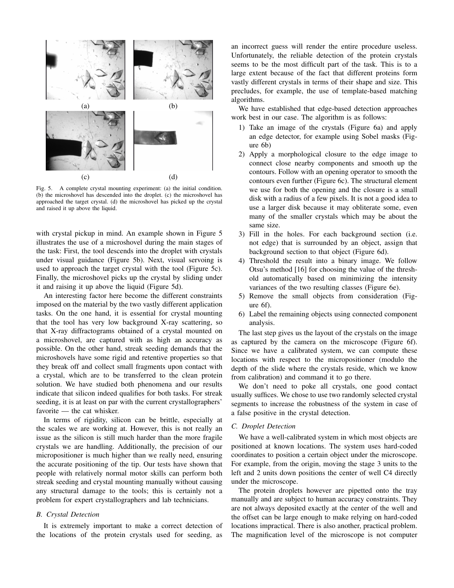

Fig. 5. A complete crystal mounting experiment: (a) the initial condition. (b) the microshovel has descended into the droplet. (c) the microshovel has approached the target crystal. (d) the microshovel has picked up the crystal and raised it up above the liquid.

with crystal pickup in mind. An example shown in Figure 5 illustrates the use of a microshovel during the main stages of the task: First, the tool descends into the droplet with crystals under visual guidance (Figure 5b). Next, visual servoing is used to approach the target crystal with the tool (Figure 5c). Finally, the microshovel picks up the crystal by sliding under it and raising it up above the liquid (Figure 5d).

An interesting factor here become the different constraints imposed on the material by the two vastly different application tasks. On the one hand, it is essential for crystal mounting that the tool has very low background X-ray scattering, so that X-ray diffractograms obtained of a crystal mounted on a microshovel, are captured with as high an accuracy as possible. On the other hand, streak seeding demands that the microshovels have some rigid and retentive properties so that they break off and collect small fragments upon contact with a crystal, which are to be transferred to the clean protein solution. We have studied both phenomena and our results indicate that silicon indeed qualifies for both tasks. For streak seeding, it is at least on par with the current crystallographers' favorite — the cat whisker.

In terms of rigidity, silicon can be brittle, especially at the scales we are working at. However, this is not really an issue as the silicon is still much harder than the more fragile crystals we are handling. Additionally, the precision of our micropositioner is much higher than we really need, ensuring the accurate positioning of the tip. Our tests have shown that people with relatively normal motor skills can perform both streak seeding and crystal mounting manually without causing any structural damage to the tools; this is certainly not a problem for expert crystallographers and lab technicians.

# *B. Crystal Detection*

It is extremely important to make a correct detection of the locations of the protein crystals used for seeding, as

an incorrect guess will render the entire procedure useless. Unfortunately, the reliable detection of the protein crystals seems to be the most difficult part of the task. This is to a large extent because of the fact that different proteins form vastly different crystals in terms of their shape and size. This precludes, for example, the use of template-based matching algorithms.

We have established that edge-based detection approaches work best in our case. The algorithm is as follows:

- 1) Take an image of the crystals (Figure 6a) and apply an edge detector, for example using Sobel masks (Figure 6b)
- 2) Apply a morphological closure to the edge image to connect close nearby components and smooth up the contours. Follow with an opening operator to smooth the contours even further (Figure 6c). The structural element we use for both the opening and the closure is a small disk with a radius of a few pixels. It is not a good idea to use a larger disk because it may obliterate some, even many of the smaller crystals which may be about the same size.
- 3) Fill in the holes. For each background section (i.e. not edge) that is surrounded by an object, assign that background section to that object (Figure 6d).
- 4) Threshold the result into a binary image. We follow Otsu's method [16] for choosing the value of the threshold automatically based on minimizing the intensity variances of the two resulting classes (Figure 6e).
- 5) Remove the small objects from consideration (Figure 6f).
- 6) Label the remaining objects using connected component analysis.

The last step gives us the layout of the crystals on the image as captured by the camera on the microscope (Figure 6f). Since we have a calibrated system, we can compute these locations with respect to the micropositioner (modulo the depth of the slide where the crystals reside, which we know from calibration) and command it to go there.

We don't need to poke all crystals, one good contact usually suffices. We chose to use two randomly selected crystal segments to increase the robustness of the system in case of a false positive in the crystal detection.

#### *C. Droplet Detection*

We have a well-calibrated system in which most objects are positioned at known locations. The system uses hard-coded coordinates to position a certain object under the microscope. For example, from the origin, moving the stage 3 units to the left and 2 units down positions the center of well C4 directly under the microscope.

The protein droplets however are pipetted onto the tray manually and are subject to human accuracy constraints. They are not always deposited exactly at the center of the well and the offset can be large enough to make relying on hard-coded locations impractical. There is also another, practical problem. The magnification level of the microscope is not computer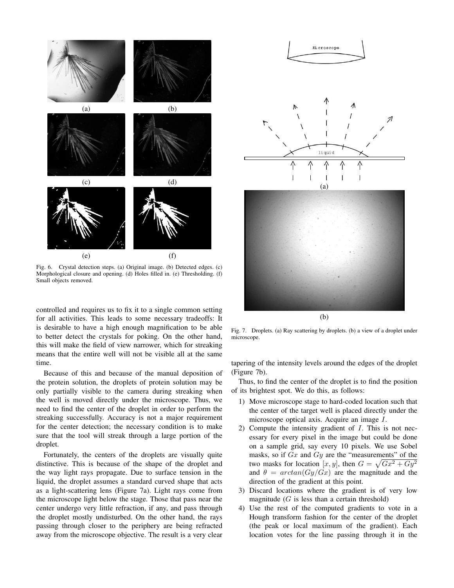

Fig. 6. Crystal detection steps. (a) Original image. (b) Detected edges. (c) Morphological closure and opening. (d) Holes filled in. (e) Thresholding. (f) Small objects removed.

controlled and requires us to fix it to a single common setting for all activities. This leads to some necessary tradeoffs: It is desirable to have a high enough magnification to be able to better detect the crystals for poking. On the other hand, this will make the field of view narrower, which for streaking means that the entire well will not be visible all at the same time.

Because of this and because of the manual deposition of the protein solution, the droplets of protein solution may be only partially visible to the camera during streaking when the well is moved directly under the microscope. Thus, we need to find the center of the droplet in order to perform the streaking successfully. Accuracy is not a major requirement for the center detection; the necessary condition is to make sure that the tool will streak through a large portion of the droplet.

Fortunately, the centers of the droplets are visually quite distinctive. This is because of the shape of the droplet and the way light rays propagate. Due to surface tension in the liquid, the droplet assumes a standard curved shape that acts as a light-scattering lens (Figure 7a). Light rays come from the microscope light below the stage. Those that pass near the center undergo very little refraction, if any, and pass through the droplet mostly undisturbed. On the other hand, the rays passing through closer to the periphery are being refracted away from the microscope objective. The result is a very clear



(b)

Fig. 7. Droplets. (a) Ray scattering by droplets. (b) a view of a droplet under microscope.

tapering of the intensity levels around the edges of the droplet (Figure 7b).

Thus, to find the center of the droplet is to find the position of its brightest spot. We do this, as follows:

- 1) Move microscope stage to hard-coded location such that the center of the target well is placed directly under the microscope optical axis. Acquire an image I.
- 2) Compute the intensity gradient of I. This is not necessary for every pixel in the image but could be done on a sample grid, say every 10 pixels. We use Sobel masks, so if  $Gx$  and  $Gy$  are the "measurements" of the two masks for location  $[x, y]$ , then  $G = \sqrt{Gx^2 + Gy^2}$ and  $\theta = \arctan(Gy/Gx)$  are the magnitude and the direction of the gradient at this point.
- 3) Discard locations where the gradient is of very low magnitude  $(G$  is less than a certain threshold)
- 4) Use the rest of the computed gradients to vote in a Hough transform fashion for the center of the droplet (the peak or local maximum of the gradient). Each location votes for the line passing through it in the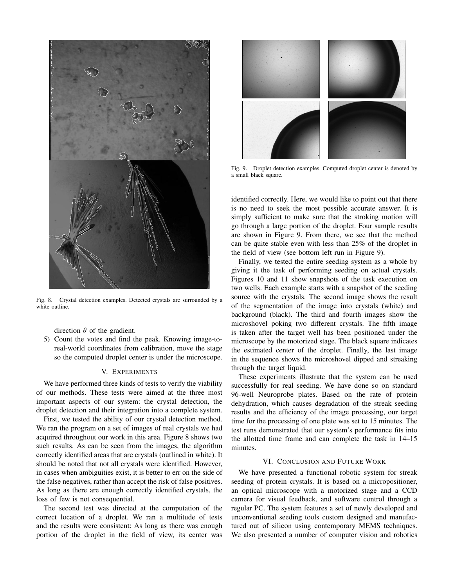

Fig. 8. Crystal detection examples. Detected crystals are surrounded by a white outline.

direction  $\theta$  of the gradient.

5) Count the votes and find the peak. Knowing image-toreal-world coordinates from calibration, move the stage so the computed droplet center is under the microscope.

# V. EXPERIMENTS

We have performed three kinds of tests to verify the viability of our methods. These tests were aimed at the three most important aspects of our system: the crystal detection, the droplet detection and their integration into a complete system.

First, we tested the ability of our crystal detection method. We ran the program on a set of images of real crystals we had acquired throughout our work in this area. Figure 8 shows two such results. As can be seen from the images, the algorithm correctly identified areas that are crystals (outlined in white). It should be noted that not all crystals were identified. However, in cases when ambiguities exist, it is better to err on the side of the false negatives, rather than accept the risk of false positives. As long as there are enough correctly identified crystals, the loss of few is not consequential.

The second test was directed at the computation of the correct location of a droplet. We ran a multitude of tests and the results were consistent: As long as there was enough portion of the droplet in the field of view, its center was



Fig. 9. Droplet detection examples. Computed droplet center is denoted by a small black square.

identified correctly. Here, we would like to point out that there is no need to seek the most possible accurate answer. It is simply sufficient to make sure that the stroking motion will go through a large portion of the droplet. Four sample results are shown in Figure 9. From there, we see that the method can be quite stable even with less than 25% of the droplet in the field of view (see bottom left run in Figure 9).

Finally, we tested the entire seeding system as a whole by giving it the task of performing seeding on actual crystals. Figures 10 and 11 show snapshots of the task execution on two wells. Each example starts with a snapshot of the seeding source with the crystals. The second image shows the result of the segmentation of the image into crystals (white) and background (black). The third and fourth images show the microshovel poking two different crystals. The fifth image is taken after the target well has been positioned under the microscope by the motorized stage. The black square indicates the estimated center of the droplet. Finally, the last image in the sequence shows the microshovel dipped and streaking through the target liquid.

These experiments illustrate that the system can be used successfully for real seeding. We have done so on standard 96-well Neuroprobe plates. Based on the rate of protein dehydration, which causes degradation of the streak seeding results and the efficiency of the image processing, our target time for the processing of one plate was set to 15 minutes. The test runs demonstrated that our system's performance fits into the allotted time frame and can complete the task in 14–15 minutes.

# VI. CONCLUSION AND FUTURE WORK

We have presented a functional robotic system for streak seeding of protein crystals. It is based on a micropositioner, an optical microscope with a motorized stage and a CCD camera for visual feedback, and software control through a regular PC. The system features a set of newly developed and unconventional seeding tools custom designed and manufactured out of silicon using contemporary MEMS techniques. We also presented a number of computer vision and robotics